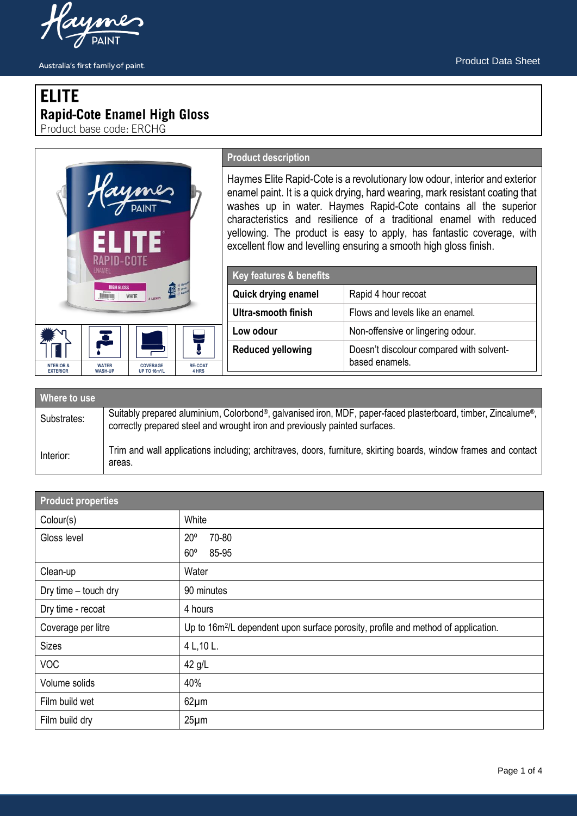

# **ELITE** Rapid-Cote Enamel High Gloss<br>Product base code: ERCHG

|                                                                                                                                                            | <b>Product description</b>                                                                                                                                                                                                                                                                                                                                                                                                                           |                                                            |
|------------------------------------------------------------------------------------------------------------------------------------------------------------|------------------------------------------------------------------------------------------------------------------------------------------------------------------------------------------------------------------------------------------------------------------------------------------------------------------------------------------------------------------------------------------------------------------------------------------------------|------------------------------------------------------------|
| <b>EN 11</b><br><b>RAPID-COTE</b>                                                                                                                          | Haymes Elite Rapid-Cote is a revolutionary low odour, interior and exterior<br>enamel paint. It is a quick drying, hard wearing, mark resistant coating that<br>washes up in water. Haymes Rapid-Cote contains all the superior<br>characteristics and resilience of a traditional enamel with reduced<br>yellowing. The product is easy to apply, has fantastic coverage, with<br>excellent flow and levelling ensuring a smooth high gloss finish. |                                                            |
| ENAMEL                                                                                                                                                     | Key features & benefits                                                                                                                                                                                                                                                                                                                                                                                                                              |                                                            |
| <b>HIGH GLOSS</b><br><b>WHITE</b>                                                                                                                          | Quick drying enamel                                                                                                                                                                                                                                                                                                                                                                                                                                  | Rapid 4 hour recoat                                        |
|                                                                                                                                                            | <b>Ultra-smooth finish</b>                                                                                                                                                                                                                                                                                                                                                                                                                           | Flows and levels like an enamel.                           |
|                                                                                                                                                            | Low odour                                                                                                                                                                                                                                                                                                                                                                                                                                            | Non-offensive or lingering odour.                          |
| <b>WATER</b><br><b>RE-COAT</b><br><b>INTERIOR &amp;</b><br><b>COVERAGE</b><br><b>WASH-UP</b><br>4 HRS<br><b>EXTERIOR</b><br><b>UP TO 16m<sup>2</sup>/L</b> | <b>Reduced yellowing</b>                                                                                                                                                                                                                                                                                                                                                                                                                             | Doesn't discolour compared with solvent-<br>based enamels. |
| Where to use                                                                                                                                               |                                                                                                                                                                                                                                                                                                                                                                                                                                                      |                                                            |

| where to use |                                                                                                                                                                                            |  |  |  |
|--------------|--------------------------------------------------------------------------------------------------------------------------------------------------------------------------------------------|--|--|--|
| Substrates:  | Suitably prepared aluminium, Colorbond®, galvanised iron, MDF, paper-faced plasterboard, timber, Zincalume®,<br>correctly prepared steel and wrought iron and previously painted surfaces. |  |  |  |
| Interior:    | Trim and wall applications including; architraves, doors, furniture, skirting boards, window frames and contact<br>areas.                                                                  |  |  |  |

| <b>Product properties</b> |                                                                                               |  |
|---------------------------|-----------------------------------------------------------------------------------------------|--|
| Colour(s)                 | White                                                                                         |  |
| Gloss level               | $20^{\circ}$<br>70-80<br>$60^\circ$<br>85-95                                                  |  |
| Clean-up                  | Water                                                                                         |  |
| Dry time - touch dry      | 90 minutes                                                                                    |  |
| Dry time - recoat         | 4 hours                                                                                       |  |
| Coverage per litre        | Up to 16m <sup>2</sup> /L dependent upon surface porosity, profile and method of application. |  |
| <b>Sizes</b>              | 4 L, 10 L.                                                                                    |  |
| <b>VOC</b>                | 42 g/L                                                                                        |  |
| Volume solids             | 40%                                                                                           |  |
| Film build wet            | $62 \mu m$                                                                                    |  |
| Film build dry            | 25 <sub>µm</sub>                                                                              |  |



Australia's first family of paint.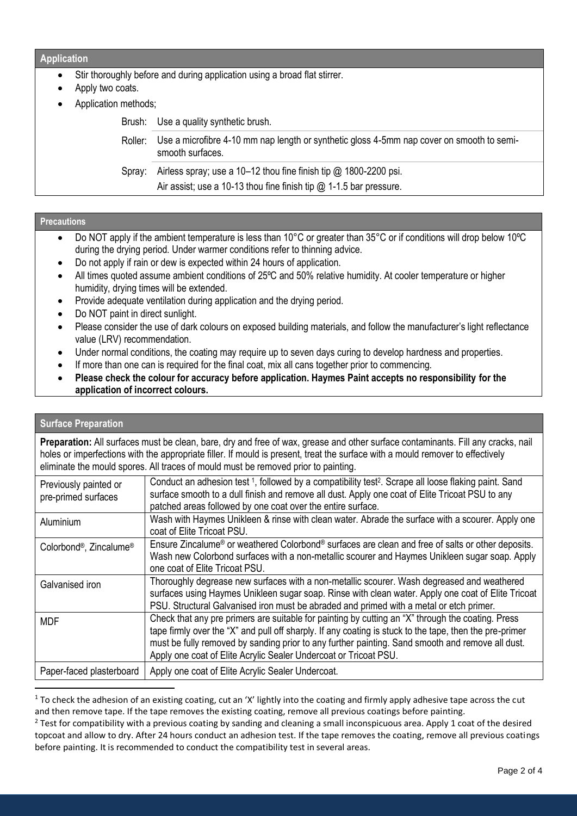#### **Application**

- Stir thoroughly before and during application using a broad flat stirrer.
- Apply two coats.
- Application methods;

Brush: Use a quality synthetic brush.

Roller: Use a microfibre 4-10 mm nap length or synthetic gloss 4-5mm nap cover on smooth to semismooth surfaces.

Spray: Airless spray; use a 10–12 thou fine finish tip @ 1800-2200 psi.

Air assist; use a 10-13 thou fine finish tip @ 1-1.5 bar pressure.

#### **Precautions**

- Do NOT apply if the ambient temperature is less than 10°C or greater than 35°C or if conditions will drop below 10ºC during the drying period. Under warmer conditions refer to thinning advice.
- Do not apply if rain or dew is expected within 24 hours of application.
- All times quoted assume ambient conditions of 25ºC and 50% relative humidity. At cooler temperature or higher humidity, drying times will be extended.
- Provide adequate ventilation during application and the drying period.
- Do NOT paint in direct sunlight.
- Please consider the use of dark colours on exposed building materials, and follow the manufacturer's light reflectance value (LRV) recommendation.
- Under normal conditions, the coating may require up to seven days curing to develop hardness and properties.
- If more than one can is required for the final coat, mix all cans together prior to commencing.
- **Please check the colour for accuracy before application. Haymes Paint accepts no responsibility for the application of incorrect colours.**

# **Surface Preparation**

**Preparation:** All surfaces must be clean, bare, dry and free of wax, grease and other surface contaminants. Fill any cracks, nail holes or imperfections with the appropriate filler. If mould is present, treat the surface with a mould remover to effectively eliminate the mould spores. All traces of mould must be removed prior to painting.

| Previously painted or<br>pre-primed surfaces    | Conduct an adhesion test 1, followed by a compatibility test <sup>2</sup> . Scrape all loose flaking paint. Sand<br>surface smooth to a dull finish and remove all dust. Apply one coat of Elite Tricoat PSU to any<br>patched areas followed by one coat over the entire surface.                                                                                                   |
|-------------------------------------------------|--------------------------------------------------------------------------------------------------------------------------------------------------------------------------------------------------------------------------------------------------------------------------------------------------------------------------------------------------------------------------------------|
| Aluminium                                       | Wash with Haymes Unikleen & rinse with clean water. Abrade the surface with a scourer. Apply one<br>coat of Elite Tricoat PSU.                                                                                                                                                                                                                                                       |
| Colorbond <sup>®</sup> , Zincalume <sup>®</sup> | Ensure Zincalume <sup>®</sup> or weathered Colorbond <sup>®</sup> surfaces are clean and free of salts or other deposits.<br>Wash new Colorbond surfaces with a non-metallic scourer and Haymes Unikleen sugar soap. Apply<br>one coat of Elite Tricoat PSU.                                                                                                                         |
| Galvanised iron                                 | Thoroughly degrease new surfaces with a non-metallic scourer. Wash degreased and weathered<br>surfaces using Haymes Unikleen sugar soap. Rinse with clean water. Apply one coat of Elite Tricoat<br>PSU. Structural Galvanised iron must be abraded and primed with a metal or etch primer.                                                                                          |
| <b>MDF</b>                                      | Check that any pre primers are suitable for painting by cutting an "X" through the coating. Press<br>tape firmly over the "X" and pull off sharply. If any coating is stuck to the tape, then the pre-primer<br>must be fully removed by sanding prior to any further painting. Sand smooth and remove all dust.<br>Apply one coat of Elite Acrylic Sealer Undercoat or Tricoat PSU. |
| Paper-faced plasterboard                        | Apply one coat of Elite Acrylic Sealer Undercoat.                                                                                                                                                                                                                                                                                                                                    |

 $1$  To check the adhesion of an existing coating, cut an 'X' lightly into the coating and firmly apply adhesive tape across the cut and then remove tape. If the tape removes the existing coating, remove all previous coatings before painting.

 $2$  Test for compatibility with a previous coating by sanding and cleaning a small inconspicuous area. Apply 1 coat of the desired topcoat and allow to dry. After 24 hours conduct an adhesion test. If the tape removes the coating, remove all previous coatings before painting. It is recommended to conduct the compatibility test in several areas.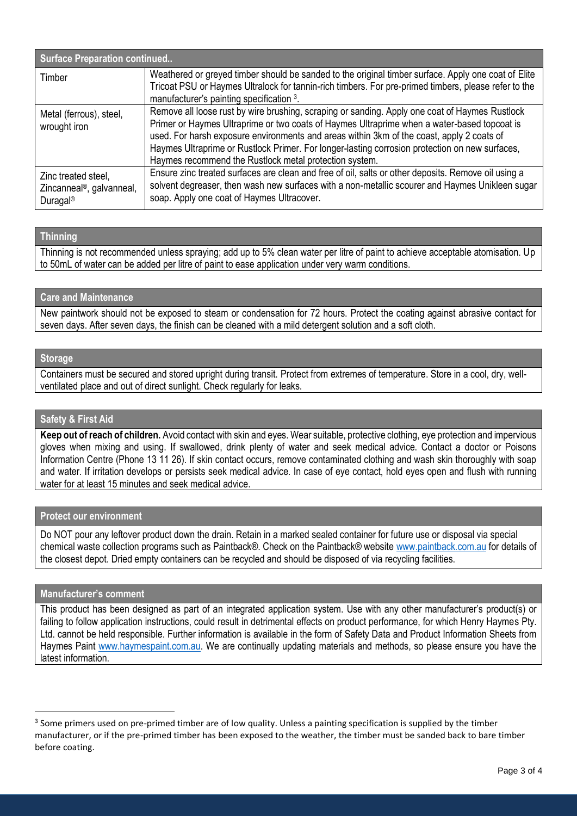| <b>Surface Preparation continued</b>                                                 |                                                                                                                                                                                                                                                                                                                                                                                                                                                        |  |
|--------------------------------------------------------------------------------------|--------------------------------------------------------------------------------------------------------------------------------------------------------------------------------------------------------------------------------------------------------------------------------------------------------------------------------------------------------------------------------------------------------------------------------------------------------|--|
| Timber                                                                               | Weathered or greyed timber should be sanded to the original timber surface. Apply one coat of Elite<br>Tricoat PSU or Haymes Ultralock for tannin-rich timbers. For pre-primed timbers, please refer to the<br>manufacturer's painting specification 3.                                                                                                                                                                                                |  |
| Metal (ferrous), steel,<br>wrought iron                                              | Remove all loose rust by wire brushing, scraping or sanding. Apply one coat of Haymes Rustlock<br>Primer or Haymes Ultraprime or two coats of Haymes Ultraprime when a water-based topcoat is<br>used. For harsh exposure environments and areas within 3km of the coast, apply 2 coats of<br>Haymes Ultraprime or Rustlock Primer. For longer-lasting corrosion protection on new surfaces,<br>Haymes recommend the Rustlock metal protection system. |  |
| Zinc treated steel,<br>Zincanneal <sup>®</sup> , galvanneal,<br>Duragal <sup>®</sup> | Ensure zinc treated surfaces are clean and free of oil, salts or other deposits. Remove oil using a<br>solvent degreaser, then wash new surfaces with a non-metallic scourer and Haymes Unikleen sugar<br>soap. Apply one coat of Haymes Ultracover.                                                                                                                                                                                                   |  |

## **Thinning**

Thinning is not recommended unless spraying; add up to 5% clean water per litre of paint to achieve acceptable atomisation. Up to 50mL of water can be added per litre of paint to ease application under very warm conditions.

## **Care and Maintenance**

New paintwork should not be exposed to steam or condensation for 72 hours. Protect the coating against abrasive contact for seven days. After seven days, the finish can be cleaned with a mild detergent solution and a soft cloth.

# **Storage**

Containers must be secured and stored upright during transit. Protect from extremes of temperature. Store in a cool, dry, wellventilated place and out of direct sunlight. Check regularly for leaks.

# **Safety & First Aid**

**Keep out of reach of children.** Avoid contact with skin and eyes. Wear suitable, protective clothing, eye protection and impervious gloves when mixing and using. If swallowed, drink plenty of water and seek medical advice. Contact a doctor or Poisons Information Centre (Phone 13 11 26). If skin contact occurs, remove contaminated clothing and wash skin thoroughly with soap and water. If irritation develops or persists seek medical advice. In case of eye contact, hold eyes open and flush with running water for at least 15 minutes and seek medical advice.

## **Protect our environment**

Do NOT pour any leftover product down the drain. Retain in a marked sealed container for future use or disposal via special chemical waste collection programs such as Paintback®. Check on the Paintback® website [www.paintback.com.au](http://www.paintback.com.au/) for details of the closest depot. Dried empty containers can be recycled and should be disposed of via recycling facilities.

#### **Manufacturer's comment**

This product has been designed as part of an integrated application system. Use with any other manufacturer's product(s) or failing to follow application instructions, could result in detrimental effects on product performance, for which Henry Haymes Pty. Ltd. cannot be held responsible. Further information is available in the form of Safety Data and Product Information Sheets from Haymes Paint [www.haymespaint.com.au.](http://www.haymespaint.com.au/) We are continually updating materials and methods, so please ensure you have the latest information.

<sup>&</sup>lt;sup>3</sup> Some primers used on pre-primed timber are of low quality. Unless a painting specification is supplied by the timber manufacturer, or if the pre-primed timber has been exposed to the weather, the timber must be sanded back to bare timber before coating.